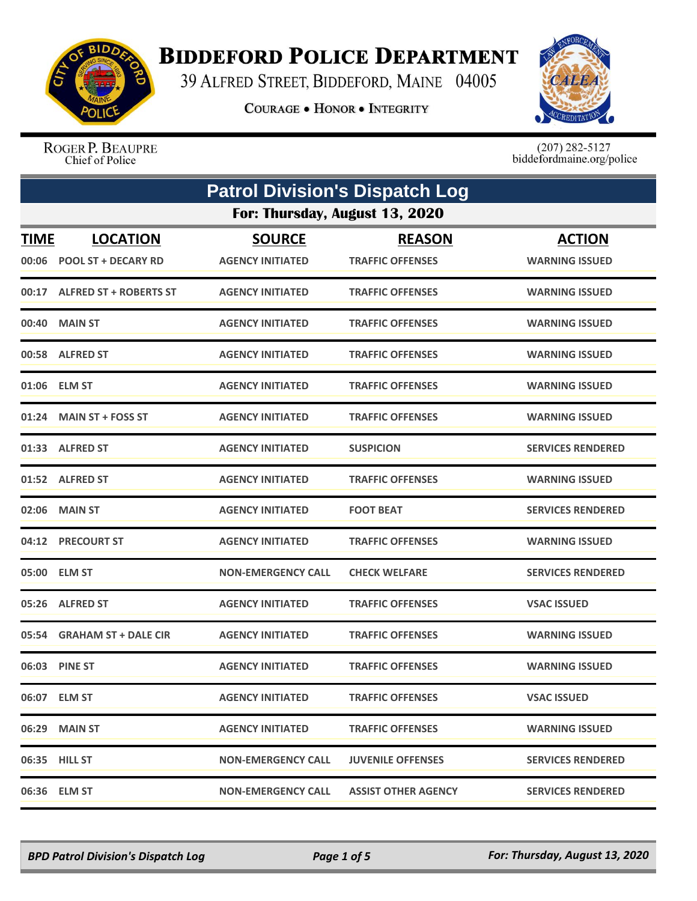

## **BIDDEFORD POLICE DEPARTMENT**

39 ALFRED STREET, BIDDEFORD, MAINE 04005

**COURAGE . HONOR . INTEGRITY** 



ROGER P. BEAUPRE Chief of Police

 $(207)$  282-5127<br>biddefordmaine.org/police

|             | <b>Patrol Division's Dispatch Log</b> |                           |                            |                          |  |
|-------------|---------------------------------------|---------------------------|----------------------------|--------------------------|--|
|             | For: Thursday, August 13, 2020        |                           |                            |                          |  |
| <b>TIME</b> | <b>LOCATION</b>                       | <b>SOURCE</b>             | <b>REASON</b>              | <b>ACTION</b>            |  |
| 00:06       | <b>POOL ST + DECARY RD</b>            | <b>AGENCY INITIATED</b>   | <b>TRAFFIC OFFENSES</b>    | <b>WARNING ISSUED</b>    |  |
|             | 00:17 ALFRED ST + ROBERTS ST          | <b>AGENCY INITIATED</b>   | <b>TRAFFIC OFFENSES</b>    | <b>WARNING ISSUED</b>    |  |
| 00:40       | <b>MAIN ST</b>                        | <b>AGENCY INITIATED</b>   | <b>TRAFFIC OFFENSES</b>    | <b>WARNING ISSUED</b>    |  |
|             | 00:58 ALFRED ST                       | <b>AGENCY INITIATED</b>   | <b>TRAFFIC OFFENSES</b>    | <b>WARNING ISSUED</b>    |  |
|             | 01:06 ELM ST                          | <b>AGENCY INITIATED</b>   | <b>TRAFFIC OFFENSES</b>    | <b>WARNING ISSUED</b>    |  |
|             | 01:24 MAIN ST + FOSS ST               | <b>AGENCY INITIATED</b>   | <b>TRAFFIC OFFENSES</b>    | <b>WARNING ISSUED</b>    |  |
|             | 01:33 ALFRED ST                       | <b>AGENCY INITIATED</b>   | <b>SUSPICION</b>           | <b>SERVICES RENDERED</b> |  |
| 01:52       | <b>ALFRED ST</b>                      | <b>AGENCY INITIATED</b>   | <b>TRAFFIC OFFENSES</b>    | <b>WARNING ISSUED</b>    |  |
|             | 02:06 MAIN ST                         | <b>AGENCY INITIATED</b>   | <b>FOOT BEAT</b>           | <b>SERVICES RENDERED</b> |  |
| 04:12       | <b>PRECOURT ST</b>                    | <b>AGENCY INITIATED</b>   | <b>TRAFFIC OFFENSES</b>    | <b>WARNING ISSUED</b>    |  |
|             | 05:00 ELM ST                          | <b>NON-EMERGENCY CALL</b> | <b>CHECK WELFARE</b>       | <b>SERVICES RENDERED</b> |  |
|             | 05:26 ALFRED ST                       | <b>AGENCY INITIATED</b>   | <b>TRAFFIC OFFENSES</b>    | <b>VSAC ISSUED</b>       |  |
|             | 05:54 GRAHAM ST + DALE CIR            | <b>AGENCY INITIATED</b>   | <b>TRAFFIC OFFENSES</b>    | <b>WARNING ISSUED</b>    |  |
|             | 06:03 PINE ST                         | <b>AGENCY INITIATED</b>   | <b>TRAFFIC OFFENSES</b>    | <b>WARNING ISSUED</b>    |  |
|             | 06:07 ELM ST                          | <b>AGENCY INITIATED</b>   | <b>TRAFFIC OFFENSES</b>    | <b>VSAC ISSUED</b>       |  |
|             | 06:29 MAIN ST                         | <b>AGENCY INITIATED</b>   | <b>TRAFFIC OFFENSES</b>    | <b>WARNING ISSUED</b>    |  |
|             | 06:35 HILL ST                         | NON-EMERGENCY CALL        | <b>JUVENILE OFFENSES</b>   | <b>SERVICES RENDERED</b> |  |
|             | 06:36 ELM ST                          | <b>NON-EMERGENCY CALL</b> | <b>ASSIST OTHER AGENCY</b> | <b>SERVICES RENDERED</b> |  |

*BPD Patrol Division's Dispatch Log Page 1 of 5 For: Thursday, August 13, 2020*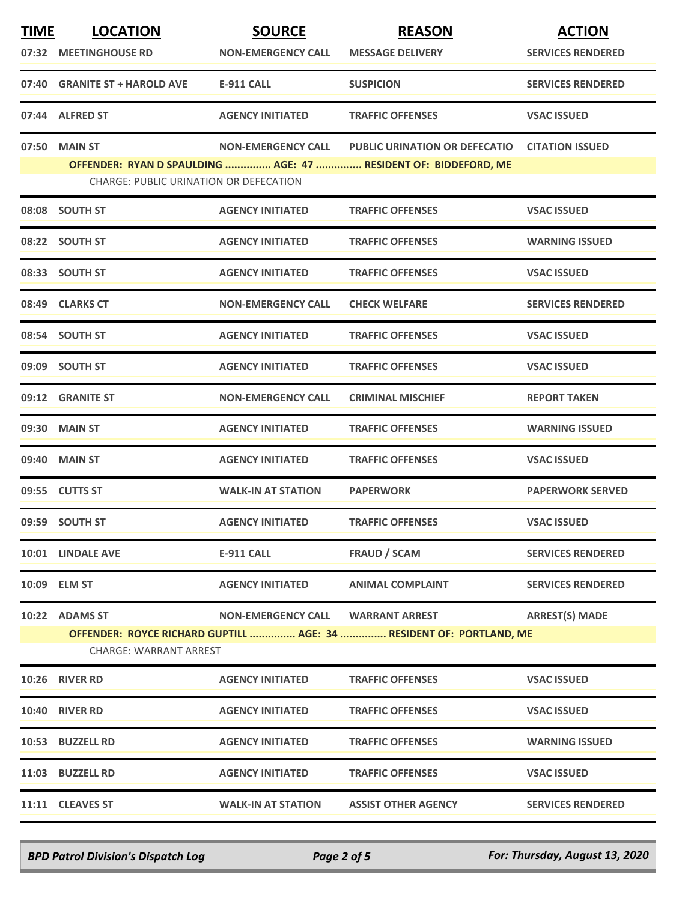| <b>TIME</b> | <b>LOCATION</b><br>07:32 MEETINGHOUSE RD                                                             | <b>SOURCE</b><br><b>NON-EMERGENCY CALL</b> | <b>REASON</b><br><b>MESSAGE DELIVERY</b>                        | <b>ACTION</b><br><b>SERVICES RENDERED</b> |  |  |
|-------------|------------------------------------------------------------------------------------------------------|--------------------------------------------|-----------------------------------------------------------------|-------------------------------------------|--|--|
|             | 07:40 GRANITE ST + HAROLD AVE                                                                        | <b>E-911 CALL</b>                          | <b>SUSPICION</b>                                                | <b>SERVICES RENDERED</b>                  |  |  |
|             | 07:44 ALFRED ST                                                                                      | <b>AGENCY INITIATED</b>                    | <b>TRAFFIC OFFENSES</b>                                         | <b>VSAC ISSUED</b>                        |  |  |
|             | 07:50 MAIN ST                                                                                        |                                            | NON-EMERGENCY CALL PUBLIC URINATION OR DEFECATIO                | <b>CITATION ISSUED</b>                    |  |  |
|             | <b>CHARGE: PUBLIC URINATION OR DEFECATION</b>                                                        |                                            | OFFENDER: RYAN D SPAULDING  AGE: 47  RESIDENT OF: BIDDEFORD, ME |                                           |  |  |
|             | 08:08 SOUTH ST                                                                                       | <b>AGENCY INITIATED</b>                    | <b>TRAFFIC OFFENSES</b>                                         | <b>VSAC ISSUED</b>                        |  |  |
|             | 08:22 SOUTH ST                                                                                       | <b>AGENCY INITIATED</b>                    | <b>TRAFFIC OFFENSES</b>                                         | <b>WARNING ISSUED</b>                     |  |  |
|             | 08:33 SOUTH ST                                                                                       | <b>AGENCY INITIATED</b>                    | <b>TRAFFIC OFFENSES</b>                                         | <b>VSAC ISSUED</b>                        |  |  |
|             | 08:49 CLARKS CT                                                                                      | <b>NON-EMERGENCY CALL</b>                  | <b>CHECK WELFARE</b>                                            | <b>SERVICES RENDERED</b>                  |  |  |
|             | 08:54 SOUTH ST                                                                                       | <b>AGENCY INITIATED</b>                    | <b>TRAFFIC OFFENSES</b>                                         | <b>VSAC ISSUED</b>                        |  |  |
|             | 09:09 SOUTH ST                                                                                       | <b>AGENCY INITIATED</b>                    | <b>TRAFFIC OFFENSES</b>                                         | <b>VSAC ISSUED</b>                        |  |  |
|             | 09:12 GRANITE ST                                                                                     | <b>NON-EMERGENCY CALL</b>                  | <b>CRIMINAL MISCHIEF</b>                                        | <b>REPORT TAKEN</b>                       |  |  |
|             | 09:30 MAIN ST                                                                                        | <b>AGENCY INITIATED</b>                    | <b>TRAFFIC OFFENSES</b>                                         | <b>WARNING ISSUED</b>                     |  |  |
|             | 09:40 MAIN ST                                                                                        | <b>AGENCY INITIATED</b>                    | <b>TRAFFIC OFFENSES</b>                                         | <b>VSAC ISSUED</b>                        |  |  |
|             | 09:55 CUTTS ST                                                                                       | <b>WALK-IN AT STATION</b>                  | <b>PAPERWORK</b>                                                | <b>PAPERWORK SERVED</b>                   |  |  |
|             | 09:59 SOUTH ST                                                                                       | <b>AGENCY INITIATED</b>                    | <b>TRAFFIC OFFENSES</b>                                         | <b>VSAC ISSUED</b>                        |  |  |
|             | 10:01 LINDALE AVE                                                                                    | <b>E-911 CALL</b>                          | <b>FRAUD / SCAM</b>                                             | <b>SERVICES RENDERED</b>                  |  |  |
|             | 10:09 ELM ST                                                                                         | <b>AGENCY INITIATED</b>                    | <b>ANIMAL COMPLAINT</b>                                         | <b>SERVICES RENDERED</b>                  |  |  |
|             | 10:22 ADAMS ST                                                                                       | <b>NON-EMERGENCY CALL</b>                  | <b>WARRANT ARREST</b>                                           | <b>ARREST(S) MADE</b>                     |  |  |
|             | OFFENDER: ROYCE RICHARD GUPTILL  AGE: 34  RESIDENT OF: PORTLAND, ME<br><b>CHARGE: WARRANT ARREST</b> |                                            |                                                                 |                                           |  |  |
|             | 10:26 RIVER RD                                                                                       | <b>AGENCY INITIATED</b>                    | <b>TRAFFIC OFFENSES</b>                                         | <b>VSAC ISSUED</b>                        |  |  |
|             | <b>10:40 RIVER RD</b>                                                                                | <b>AGENCY INITIATED</b>                    | <b>TRAFFIC OFFENSES</b>                                         | <b>VSAC ISSUED</b>                        |  |  |
|             | 10:53 BUZZELL RD                                                                                     | <b>AGENCY INITIATED</b>                    | <b>TRAFFIC OFFENSES</b>                                         | <b>WARNING ISSUED</b>                     |  |  |
|             | 11:03 BUZZELL RD                                                                                     | <b>AGENCY INITIATED</b>                    | <b>TRAFFIC OFFENSES</b>                                         | <b>VSAC ISSUED</b>                        |  |  |
|             | 11:11 CLEAVES ST                                                                                     | <b>WALK-IN AT STATION</b>                  | <b>ASSIST OTHER AGENCY</b>                                      | <b>SERVICES RENDERED</b>                  |  |  |

*BPD Patrol Division's Dispatch Log Page 2 of 5 For: Thursday, August 13, 2020*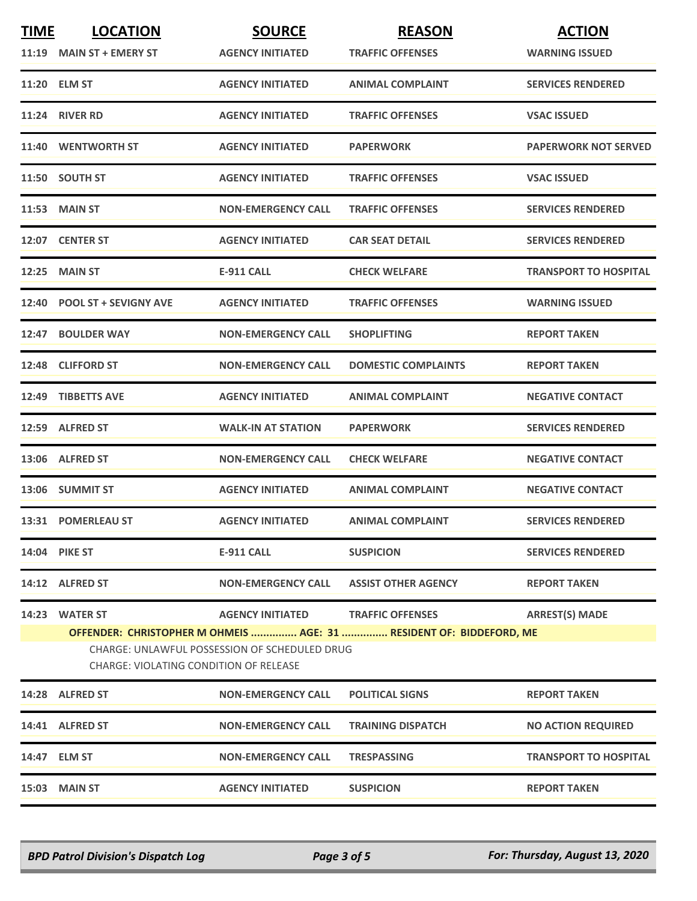| <b>TIME</b> | <b>LOCATION</b>                                                                                                                                                | <b>SOURCE</b>             | <b>REASON</b>              | <b>ACTION</b>                |  |
|-------------|----------------------------------------------------------------------------------------------------------------------------------------------------------------|---------------------------|----------------------------|------------------------------|--|
|             | 11:19 MAIN ST + EMERY ST                                                                                                                                       | <b>AGENCY INITIATED</b>   | <b>TRAFFIC OFFENSES</b>    | <b>WARNING ISSUED</b>        |  |
|             | 11:20 ELM ST                                                                                                                                                   | <b>AGENCY INITIATED</b>   | <b>ANIMAL COMPLAINT</b>    | <b>SERVICES RENDERED</b>     |  |
|             | 11:24 RIVER RD                                                                                                                                                 | <b>AGENCY INITIATED</b>   | <b>TRAFFIC OFFENSES</b>    | <b>VSAC ISSUED</b>           |  |
|             | 11:40 WENTWORTH ST                                                                                                                                             | <b>AGENCY INITIATED</b>   | <b>PAPERWORK</b>           | <b>PAPERWORK NOT SERVED</b>  |  |
|             | 11:50 SOUTH ST                                                                                                                                                 | <b>AGENCY INITIATED</b>   | <b>TRAFFIC OFFENSES</b>    | <b>VSAC ISSUED</b>           |  |
|             | <b>11:53 MAIN ST</b>                                                                                                                                           | <b>NON-EMERGENCY CALL</b> | <b>TRAFFIC OFFENSES</b>    | <b>SERVICES RENDERED</b>     |  |
|             | 12:07 CENTER ST                                                                                                                                                | <b>AGENCY INITIATED</b>   | <b>CAR SEAT DETAIL</b>     | <b>SERVICES RENDERED</b>     |  |
|             | <b>12:25 MAIN ST</b>                                                                                                                                           | <b>E-911 CALL</b>         | <b>CHECK WELFARE</b>       | <b>TRANSPORT TO HOSPITAL</b> |  |
|             | 12:40 POOL ST + SEVIGNY AVE                                                                                                                                    | <b>AGENCY INITIATED</b>   | <b>TRAFFIC OFFENSES</b>    | <b>WARNING ISSUED</b>        |  |
|             | 12:47 BOULDER WAY                                                                                                                                              | <b>NON-EMERGENCY CALL</b> | <b>SHOPLIFTING</b>         | <b>REPORT TAKEN</b>          |  |
|             | 12:48 CLIFFORD ST                                                                                                                                              | <b>NON-EMERGENCY CALL</b> | <b>DOMESTIC COMPLAINTS</b> | <b>REPORT TAKEN</b>          |  |
|             | 12:49 TIBBETTS AVE                                                                                                                                             | <b>AGENCY INITIATED</b>   | <b>ANIMAL COMPLAINT</b>    | <b>NEGATIVE CONTACT</b>      |  |
|             | 12:59 ALFRED ST                                                                                                                                                | <b>WALK-IN AT STATION</b> | <b>PAPERWORK</b>           | <b>SERVICES RENDERED</b>     |  |
|             | 13:06 ALFRED ST                                                                                                                                                | <b>NON-EMERGENCY CALL</b> | <b>CHECK WELFARE</b>       | <b>NEGATIVE CONTACT</b>      |  |
|             | 13:06 SUMMIT ST                                                                                                                                                | <b>AGENCY INITIATED</b>   | <b>ANIMAL COMPLAINT</b>    | <b>NEGATIVE CONTACT</b>      |  |
|             | 13:31 POMERLEAU ST                                                                                                                                             | <b>AGENCY INITIATED</b>   | <b>ANIMAL COMPLAINT</b>    | <b>SERVICES RENDERED</b>     |  |
|             | 14:04 PIKE ST                                                                                                                                                  | E-911 CALL                | <b>SUSPICION</b>           | <b>SERVICES RENDERED</b>     |  |
|             | 14:12 ALFRED ST                                                                                                                                                | <b>NON-EMERGENCY CALL</b> | <b>ASSIST OTHER AGENCY</b> | <b>REPORT TAKEN</b>          |  |
|             | 14:23 WATER ST                                                                                                                                                 | <b>AGENCY INITIATED</b>   | <b>TRAFFIC OFFENSES</b>    | <b>ARREST(S) MADE</b>        |  |
|             | OFFENDER: CHRISTOPHER M OHMEIS  AGE: 31  RESIDENT OF: BIDDEFORD, ME<br>CHARGE: UNLAWFUL POSSESSION OF SCHEDULED DRUG<br>CHARGE: VIOLATING CONDITION OF RELEASE |                           |                            |                              |  |
|             | 14:28 ALFRED ST                                                                                                                                                | <b>NON-EMERGENCY CALL</b> | <b>POLITICAL SIGNS</b>     | <b>REPORT TAKEN</b>          |  |
|             | 14:41 ALFRED ST                                                                                                                                                | <b>NON-EMERGENCY CALL</b> | <b>TRAINING DISPATCH</b>   | <b>NO ACTION REQUIRED</b>    |  |
|             | 14:47 ELM ST                                                                                                                                                   | <b>NON-EMERGENCY CALL</b> | <b>TRESPASSING</b>         | <b>TRANSPORT TO HOSPITAL</b> |  |
|             | <b>15:03 MAIN ST</b>                                                                                                                                           | <b>AGENCY INITIATED</b>   | <b>SUSPICION</b>           | <b>REPORT TAKEN</b>          |  |

*BPD Patrol Division's Dispatch Log Page 3 of 5 For: Thursday, August 13, 2020*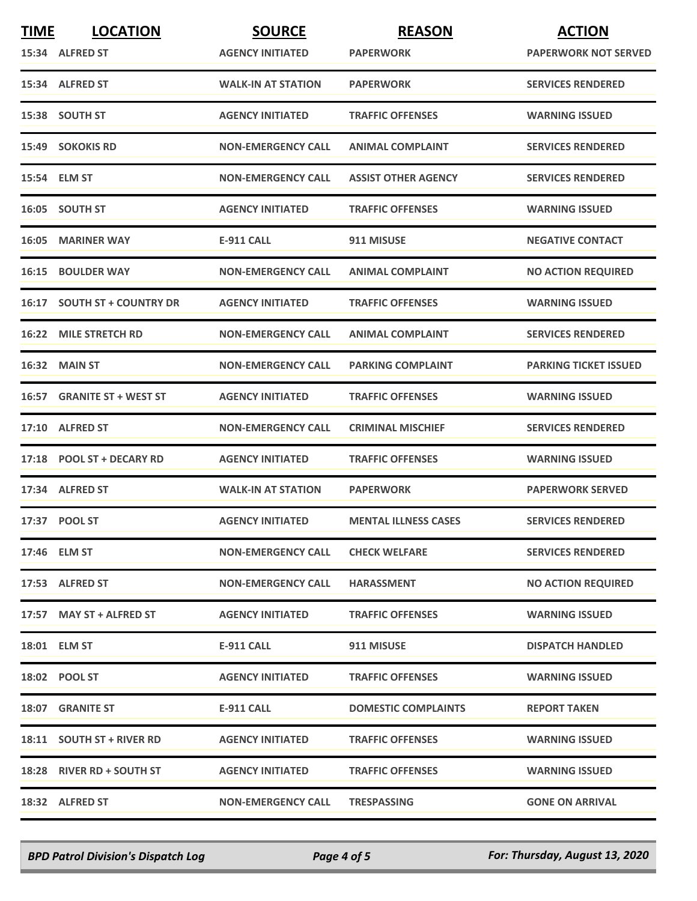| <b>TIME</b> | <b>LOCATION</b>              | <b>SOURCE</b>             | <b>REASON</b>               | <b>ACTION</b>                |
|-------------|------------------------------|---------------------------|-----------------------------|------------------------------|
|             | 15:34 ALFRED ST              | <b>AGENCY INITIATED</b>   | <b>PAPERWORK</b>            | <b>PAPERWORK NOT SERVED</b>  |
|             | 15:34 ALFRED ST              | <b>WALK-IN AT STATION</b> | <b>PAPERWORK</b>            | <b>SERVICES RENDERED</b>     |
|             | 15:38 SOUTH ST               | <b>AGENCY INITIATED</b>   | <b>TRAFFIC OFFENSES</b>     | <b>WARNING ISSUED</b>        |
|             | 15:49 SOKOKIS RD             | <b>NON-EMERGENCY CALL</b> | <b>ANIMAL COMPLAINT</b>     | <b>SERVICES RENDERED</b>     |
|             | 15:54 ELM ST                 | <b>NON-EMERGENCY CALL</b> | <b>ASSIST OTHER AGENCY</b>  | <b>SERVICES RENDERED</b>     |
|             | 16:05 SOUTH ST               | <b>AGENCY INITIATED</b>   | <b>TRAFFIC OFFENSES</b>     | <b>WARNING ISSUED</b>        |
| 16:05       | <b>MARINER WAY</b>           | <b>E-911 CALL</b>         | 911 MISUSE                  | <b>NEGATIVE CONTACT</b>      |
| 16:15       | <b>BOULDER WAY</b>           | <b>NON-EMERGENCY CALL</b> | <b>ANIMAL COMPLAINT</b>     | <b>NO ACTION REQUIRED</b>    |
| 16:17       | <b>SOUTH ST + COUNTRY DR</b> | <b>AGENCY INITIATED</b>   | <b>TRAFFIC OFFENSES</b>     | <b>WARNING ISSUED</b>        |
| 16:22       | <b>MILE STRETCH RD</b>       | <b>NON-EMERGENCY CALL</b> | <b>ANIMAL COMPLAINT</b>     | <b>SERVICES RENDERED</b>     |
|             | <b>16:32 MAIN ST</b>         | <b>NON-EMERGENCY CALL</b> | <b>PARKING COMPLAINT</b>    | <b>PARKING TICKET ISSUED</b> |
| 16:57       | <b>GRANITE ST + WEST ST</b>  | <b>AGENCY INITIATED</b>   | <b>TRAFFIC OFFENSES</b>     | <b>WARNING ISSUED</b>        |
|             | 17:10 ALFRED ST              | <b>NON-EMERGENCY CALL</b> | <b>CRIMINAL MISCHIEF</b>    | <b>SERVICES RENDERED</b>     |
|             | 17:18 POOL ST + DECARY RD    | <b>AGENCY INITIATED</b>   | <b>TRAFFIC OFFENSES</b>     | <b>WARNING ISSUED</b>        |
|             | 17:34 ALFRED ST              | <b>WALK-IN AT STATION</b> | <b>PAPERWORK</b>            | <b>PAPERWORK SERVED</b>      |
|             | 17:37 POOL ST                | <b>AGENCY INITIATED</b>   | <b>MENTAL ILLNESS CASES</b> | <b>SERVICES RENDERED</b>     |
|             | 17:46 ELM ST                 | <b>NON-EMERGENCY CALL</b> | <b>CHECK WELFARE</b>        | <b>SERVICES RENDERED</b>     |
|             | 17:53 ALFRED ST              | <b>NON-EMERGENCY CALL</b> | <b>HARASSMENT</b>           | <b>NO ACTION REQUIRED</b>    |
|             | 17:57 MAY ST + ALFRED ST     | <b>AGENCY INITIATED</b>   | <b>TRAFFIC OFFENSES</b>     | <b>WARNING ISSUED</b>        |
|             | 18:01 ELM ST                 | <b>E-911 CALL</b>         | 911 MISUSE                  | <b>DISPATCH HANDLED</b>      |
|             | 18:02 POOL ST                | <b>AGENCY INITIATED</b>   | <b>TRAFFIC OFFENSES</b>     | <b>WARNING ISSUED</b>        |
|             | <b>18:07 GRANITE ST</b>      | E-911 CALL                | <b>DOMESTIC COMPLAINTS</b>  | <b>REPORT TAKEN</b>          |
|             | 18:11 SOUTH ST + RIVER RD    | <b>AGENCY INITIATED</b>   | <b>TRAFFIC OFFENSES</b>     | <b>WARNING ISSUED</b>        |
|             | 18:28 RIVER RD + SOUTH ST    | <b>AGENCY INITIATED</b>   | <b>TRAFFIC OFFENSES</b>     | <b>WARNING ISSUED</b>        |
|             | 18:32 ALFRED ST              | <b>NON-EMERGENCY CALL</b> | <b>TRESPASSING</b>          | <b>GONE ON ARRIVAL</b>       |

*BPD Patrol Division's Dispatch Log Page 4 of 5 For: Thursday, August 13, 2020*